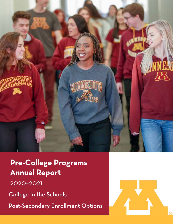

**Pre-College Programs Annual Report**

2020–2021

College in the Schools

Post-Secondary Enrollment Options

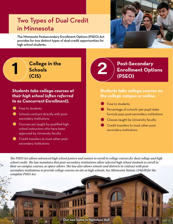## Two Types of Dual Credit in Minnesota

The Minnesota Postsecondary Enrollment Options (PSEO) Act provides for two distinct types of dual-credit opportunities for high school students.



**College in the Schools (CIS)**

## *Students take college courses at their high school (often referred*  **to as Concurrent Enrollment).**<br>• Free to students<br>• Schools contract directly with post-

**1**

**1**

- Free to students<br>• Schools contract directly with postsecondary institutions
- **Courses are taught by qualified high** school instructors who have been approved by University faculty
- **Credit transfers to most other post**secondary institutions

## **2 Post-Secondary**<br> **2 Post-Secondary**<br> **POSEO) Enrollment Options (PSEO)**

# *Students take college courses on*  **• The college campus or online.**<br>● Free to students<br>● Percentage of schools' per-pupil sta

- 
- e F<br>P<br>fd<br>fd Percentage of schools' per-pupil state formula pays post-secondary institutions • Franching Pressure per perpendent<br>formula pays post-secondary institu<br>● Classes taught by University faculty<br>● Credit transfers to most other post-
	-
- $\bullet$  c<br> $\bullet$  c<br> $\bullet$  set **Credit transfers to most other post**secondary institutions

*The PSEO Act allows advanced high school juniors and seniors to enroll in college courses for dual college and high school credit. The law mandates that post-secondary institutions allow selected high school students to enroll in their on-campus courses, as space allows. The law also allows schools and districts to contract with postsecondary institutions to provide college courses on site at high schools. See Minnesota Statute 124d.09 for the complete PSEO Act.*

**Our new home in Nicholson Hall**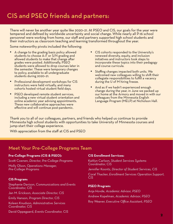## CIS and PSEO friends and partners:

There will never be another year quite like 2020–21. At PSEO and CIS, our goals for the year were tempered and defined by worldwide uncertainty and social change. While nearly all P-16 school personnel were working from home, our staff and partners supported high school students and their instructors as classroom teaching and learning transformed throughout the year.

Some noteworthy pivots included the following:

- A change to the grading basis policy allowed students to choose A–F or S/N grading and allowed students to make that change after grades were posted. Additionally, PSEO students were allowed to drop courses later in the semester. These were temporary changes to policy, available to all undergraduate students during 2020–21.
- Professional development workshops for CIS instructors were held virtually, and many cohorts hosted virtual student field days.
- PSEO developed remote student services, including a new virtual student orientation and online academic year advising appointments. These new collaborative approaches were effective and will continue post-pandemic.
- CIS cohorts responded to the University's renewed diversity, equity, and inclusion initiatives and instructors took steps to incorporate these topics into their pedagogy and course curricula.
- Staffing changes impacted both units. We welcomed new colleagues willing to shift their collegiate responsibilities to fulfill a vacancy during the U of M hiring freeze.
- And as if we hadn't experienced enough change during the year, in June we packed up our home at the Armory and moved in with our colleagues from the Minnesota English Language Program (MELP) at Nicholson Hall.

Thank you to all of our colleagues, partners, and friends who helped us continue to provide Minnesota high school students with opportunities to take University of Minnesota courses and jump-start their college experience.

With appreciation from the staff at CIS and PSEO

### Meet Your Pre-College Programs Team

#### **Pre-College Programs (CIS & PSEO):**

Scott Coenen, *Director, Pre-College Programs* Molly Olson, *Operations Manager, Pre-College Programs* 

#### **CIS Program:**

Stephanie Davison, *Communications and Events Coordinator, CIS* 

Jan M. Erickson, *Associate Director, CIS* 

Emily Hanson, *Program Director, CIS* 

Koleen Knudson, *Administrative Services Coordinator, CIS*

David Oppegaard, *Events Coordinator, CIS*

#### **CIS Enrollment Services:**

Kaitlyn Carlson, *Student Services Systems Coordinator, CIS*

Jennifer Koontz, *Director of Student Services, CIS* Coral Thacker, *Enrollment Services Operation Support, CIS* 

#### **PSEO Program:**

Anja Hovde, *Academic Advisor, PSEO* Andrew Kopelman, *Academic Advisor, PSEO* Roy Weaver, *Executive Office Assistant, PSEO*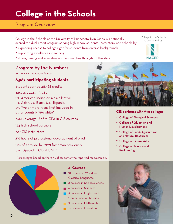# **College in the Schools**

## Program Overview

College in the Schools at the University of Minnesota Twin Cities is a nationally accredited dual-credit program serving high school students, instructors, and schools by:

- expanding access to college rigor for students from diverse backgrounds.
- supporting excellence in teaching.
- strengthening and educating our communities throughout the state.

## Program by the Numbers

In the 2020–21 academic year

### **8,967 participating students**

Students earned 48,568 credits

29% students of color (1% American Indian or Alaska Native, 11% Asian, 7% Black, 8% Hispanic, 2% Two or more races [not included in other counts]); 71% white\*

3.44 = average U of M GPA in CIS courses

124 high school partners

387 CIS instructors

316 hours of professional development offered

17% of enrolled fall 2021 freshman previously participated in CIS at UMTC

\*Percentages based on the 95% of students who reported race/ethnicity



#### **41 Courses**

- 18 courses in World and Classical Languages
- 8 courses in Social Sciences
- 6 courses in Sciences
- 4 courses in English and Communication Studies
- 3 courses in Mathematics
- 2 courses in Education



#### **CIS partners with five colleges**

- College of Biological Sciences
- College of Education and Human Development
- College of Food, Agricultural, and Natural Resources
- College of Liberal Arts
- College of Science and **Engineering**



College in the Schools is accredited by

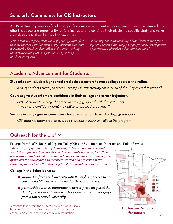## Scholarly Community for CIS Instructors

A CIS partnership ensures faculty-led professional development occurs at least three times annually to offer the space and opportunity for CIS instructors to continue their discipline-specific study and make contributions to their field and communities.

*"I have learned a great deal about physiology, and I feel that the teacher collaboration in my cohort makes it all worthwhile. Teachers from all over the state working toward the same goals is a fantastic way to keep teachers energized."*

*"It has improved my teaching. I have learned more from my CIS cohorts than many past professional development opportunities offered by other organizations."*

## Academic Advancement for Students

Students earn valuable high school credit that transfers to most colleges across the nation.

*87% of students surveyed were successful in transferring some or all of the U of M credits earned\**

#### Courses give students more confidence in their college and career trajectory.

 *80% of students surveyed agreed or strongly agreed with the statement "I was more confident about my ability to succeed in college."\**

#### Success in early rigorous coursework builds momentum toward college graduation.

*CIS students attempted on average 6 credits in 2020–21 while in the program*

## Outreach for the U of M

#### Excerpt from U of M Board of Regents Policy Mission Statement on Outreach and Public Service

*"To extend, apply, and exchange knowledge between the University and society by applying scholarly expertise to community problems, by helping organizations and individuals respond to their changing environments, and by making the knowledge and resources created and preserved at the University accessible to the citizens of the state, the nation, and the world."*

#### College in the Schools shares:

- .*knowledge from the University with 124 high school partners, connecting Minnesota communities throughout the state.*
- .*partnerships with 22 departments across five colleges at the U of M, providing Minnesota schools with current pedagogy from a top research university.*

\*Statistics taken from the 2018-19 Annual Student Survey. For complete survey results, visit the CIS website at ccaps.umn.edu/college-in-the-schools/accreditation



**CIS Partner Schools for 2020–21**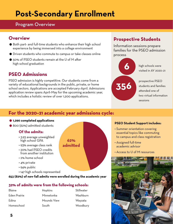# **Post-Secondary Enrollment**

## Program Overview

## **Overview**

- **Overview**<br>• Both part- and full-time students who enhance their high school<br>experience by being immersed into a college environment experience by being immersed into a college environment • Both part- and full-time students who enhance their high school experience by being immersed into a college environment<br>• Driven students who commute to campus or take classes online<br>• FREC students against the UsEM clas
- $\bullet$  Driven students who commute to campus or take classes online<br> $\bullet$  50% of PSEO students remain at the U of M after
- high school graduation

## **PSEO Admissions**

PSEO admission is highly competitive. Our students come from a variety of educational backgrounds in the public, private, or home school sectors. Applications are accepted February–April. Admissions application review spans April–May for the upcoming academic year, which includes a holistic review of over 1,200 applications.

## **Prospective Students**

Information sessions prepare families for the PSEO admission process



## **For the 2020–21 academic year admissions cycle:** For the 2020–21 acad<br>• 1,296 completed applications<br>• 800 (62%) admitted students **For the 2020–21 acad**<br>• 1,296 completed applications<br>• 800 (62%) admitted students

**62% admitted**

- 
- 

### **Of the admits:**

- 3.93 average unweighted high school GPA
- 93% average class rank
- 20% had PSEO credits from another institution
- 2% home school
- 4% private
- 94% public
- 147 high schools represented

#### **653 (82%) of new fall admits were enrolled during the academic year**

#### **32% of admits were from the following schools:**

- Blaine Eden Prairie Edina Homeschool
- Hopkins Minnetonka Mounds View South
- **Stillwater** Washburn Wayzata Woodbury

#### **PSEO Student Support includes:**

- Summer orientation covering essential topics like commuting to campus and class registration
- Assigned full-time academic advisor
- Access to U of M resources

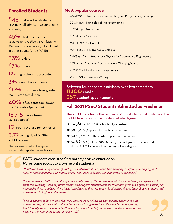## **Enrolled Students**

845 total enrolled students (653 new fall admits + 192 continuing students)

45% students of color (25% Asian, 7% Black, 6% Hispanic, 7% Two or more races [not included in other counts]), 55% White\*

33% juniors

67% seniors

124 high schools represented

3% homeschool students

60% of students took greater than 11 credits (full-time)

40% of students took fewer than 12 credits (part-time)

15,715 credits taken (4,548 courses)

10 credits average per semester

3.72 average U of M GPA in PSEO courses

\*Percentages based on the 95% of students who reported race/ethnicity

### **Most popular courses:**

- CSCI 1133 Introduction to Computing and Programming Concepts
- **ECON 1101 Principles of Microeconomics**
- MATH 1151 Precalculus I
- MATH 1271 Calculus I
- MATH 1272 Calculus II
- MATH 2263 Multivariable Calculus
- PHYS 1301W Introductory Physics for Science and Engineering
- POL 1001 American Democracy in a Changing World
- PSY 1001 Introduction to Psychology
- WRIT 1301 University Writing

Between four academic advisors over two semesters, 11,100 emails 287 student appointments

## **Fall 2021 PSEO Students Admitted as Freshman**

The PSEO office tracks the number of PSEO students that continue at the U of M Twin Cities for their undergraduate degree.

Of the 580 PSEO 2021 high school graduates:

- 561 (97%) applied for freshman admission
- 543 (97%) of those who applied were admitted
- 308 (53%) of the 580 PSEO high school graduates continued at the U of M to pursue their undergraduate degree

#### *PSEO students consistently report a positive experience. Here's some feedback from recent students:*

*"PSEO was the best experience of my high school career. It has pushed me out of my comfort zone, helping me to build my independence, time management skills, mental health, and leadership experiences."*

" *"I was challenged both academically and socially through the university-level classes and campus experience. I loved the flexibility I had to pursue classes and subjects I'm interested in. PSEO also provided a great transition year from high school to college where I was introduced to the rigor and style of college classes but still lived at home and participated in high school activities."*

*"I really enjoyed taking on this challenge, this program helped me gain a better experience and understanding of college life and academics. As a first-generation college student in my family, I didn't really know much about college but being in PSEO helped me gain a better understanding and I feel like I am more ready for college life."*